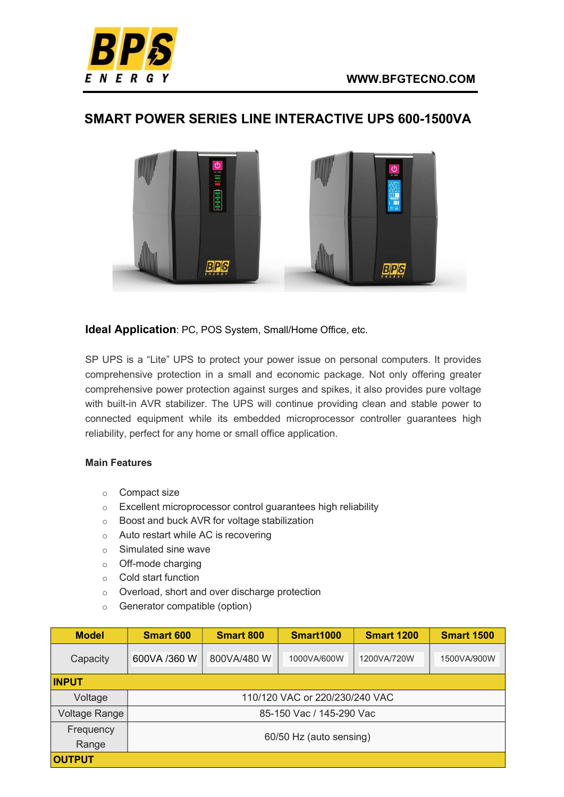

## SMART POWER SERIES LINE INTERACTIVE UPS 600-1500VA



Ideal Application: PC, POS System, Small/Home Office, etc.

SP UPS is a "Lite" UPS to protect your power issue on personal computers. It provides comprehensive protection in a small and economic package. Not only offering greater comprehensive power protection against surges and spikes, it also provides pure voltage with built-in AVR stabilizer. The UPS will continue providing clean and stable power to connected equipment while its embedded microprocessor controller guarantees high reliability, perfect for any home or small office application.

## Main Features

- o Compact size
- o Excellent microprocessor control guarantees high reliability
- o Boost and buck AVR for voltage stabilization
- o Auto restart while AC is recovering
- o Simulated sine wave
- o Off-mode charging
- o Cold start function
- o Overload, short and over discharge protection
- o Generator compatible (option)

| <b>Model</b>  | <b>Smart 600</b>               | <b>Smart 800</b> | <b>Smart1000</b> | <b>Smart 1200</b> | <b>Smart 1500</b> |  |  |  |
|---------------|--------------------------------|------------------|------------------|-------------------|-------------------|--|--|--|
| Capacity      | 600VA /360 W                   | 800VA/480 W      | 1000VA/600W      | 1200VA/720W       | 1500VA/900W       |  |  |  |
| <b>INPUT</b>  |                                |                  |                  |                   |                   |  |  |  |
| Voltage       | 110/120 VAC or 220/230/240 VAC |                  |                  |                   |                   |  |  |  |
| Voltage Range | 85-150 Vac / 145-290 Vac       |                  |                  |                   |                   |  |  |  |
| Frequency     | 60/50 Hz (auto sensing)        |                  |                  |                   |                   |  |  |  |
| Range         |                                |                  |                  |                   |                   |  |  |  |
| <b>OUTPUT</b> |                                |                  |                  |                   |                   |  |  |  |